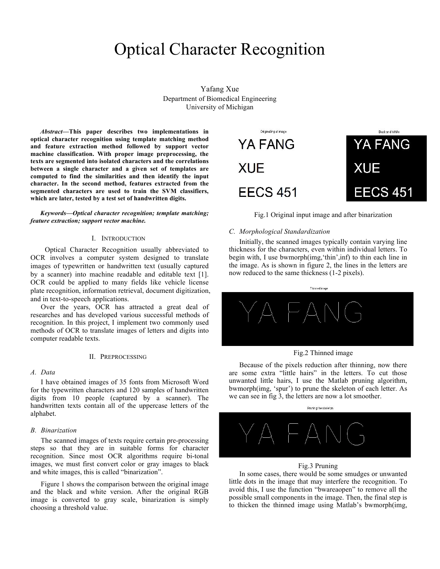# Optical Character Recognition

Yafang Xue Department of Biomedical Engineering University of Michigan

*Abstract***—This paper describes two implementations in optical character recognition using template matching method and feature extraction method followed by support vector machine classification. With proper image preprocessing, the texts are segmented into isolated characters and the correlations between a single character and a given set of templates are computed to find the similarities and then identify the input character. In the second method, features extracted from the segmented characters are used to train the SVM classifiers, which are later, tested by a test set of handwritten digits.**

#### *Keywords—Optical character recognition; template matching; feature extraction; support vector machine.*

#### I. INTRODUCTION

Optical Character Recognition usually abbreviated to OCR involves a computer system designed to translate images of typewritten or handwritten text (usually captured by a scanner) into machine readable and editable text [1]. OCR could be applied to many fields like vehicle license plate recognition, information retrieval, document digitization, and in text-to-speech applications.

Over the years, OCR has attracted a great deal of researches and has developed various successful methods of recognition. In this project, I implement two commonly used methods of OCR to translate images of letters and digits into computer readable texts.

#### II. PREPROCESSING

#### *A. Data*

I have obtained images of 35 fonts from Microsoft Word for the typewritten characters and 120 samples of handwritten digits from 10 people (captured by a scanner). The handwritten texts contain all of the uppercase letters of the alphabet.

#### *B. Binarization*

The scanned images of texts require certain pre-processing steps so that they are in suitable forms for character recognition. Since most OCR algorithms require bi-tonal images, we must first convert color or gray images to black and white images, this is called "binarization".

Figure 1 shows the comparison between the original image and the black and white version. After the original RGB image is converted to gray scale, binarization is simply choosing a threshold value.



Fig.1 Original input image and after binarization

#### *C. Morphological Standardization*

Initially, the scanned images typically contain varying line thickness for the characters, even within individual letters. To begin with, I use bwmorph(img,'thin',inf) to thin each line in the image. As is shown in figure 2, the lines in the letters are now reduced to the same thickness (1-2 pixels).





Because of the pixels reduction after thinning, now there are some extra "little hairs" in the letters. To cut those unwanted little hairs, I use the Matlab pruning algorithm, bwmorph(img, 'spur') to prune the skeleton of each letter. As we can see in fig 3, the letters are now a lot smoother.



#### Fig.3 Pruning

In some cases, there would be some smudges or unwanted little dots in the image that may interfere the recognition. To avoid this, I use the function "bwareaopen" to remove all the possible small components in the image. Then, the final step is to thicken the thinned image using Matlab's bwmorph(img,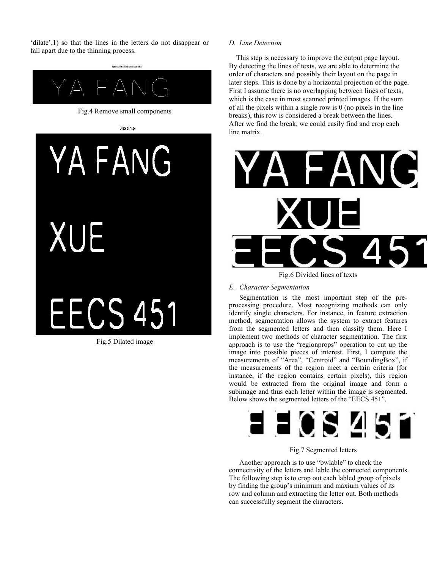'dilate',1) so that the lines in the letters do not disappear or fall apart due to the thinning process.



# **XUE** Fig.5 Dilated image

# *D. Line Detection*

 This step is necessary to improve the output page layout. By detecting the lines of texts, we are able to determine the order of characters and possibly their layout on the page in later steps. This is done by a horizontal projection of the page. First I assume there is no overlapping between lines of texts, which is the case in most scanned printed images. If the sum of all the pixels within a single row is 0 (no pixels in the line breaks), this row is considered a break between the lines. After we find the break, we could easily find and crop each line matrix.



Fig.6 Divided lines of texts

# *E. Character Segmentation*

Segmentation is the most important step of the preprocessing procedure. Most recognizing methods can only identify single characters. For instance, in feature extraction method, segmentation allows the system to extract features from the segmented letters and then classify them. Here I implement two methods of character segmentation. The first approach is to use the "regionprops" operation to cut up the image into possible pieces of interest. First, I compute the measurements of "Area", "Centroid" and "BoundingBox", if the measurements of the region meet a certain criteria (for instance, if the region contains certain pixels), this region would be extracted from the original image and form a subimage and thus each letter within the image is segmented. Below shows the segmented letters of the "EECS 451".



# Fig.7 Segmented letters

Another approach is to use "bwlable" to check the connectivity of the letters and lable the connected components. The following step is to crop out each labled group of pixels by finding the group's minimum and maxium values of its row and column and extracting the letter out. Both methods can successfully segment the characters.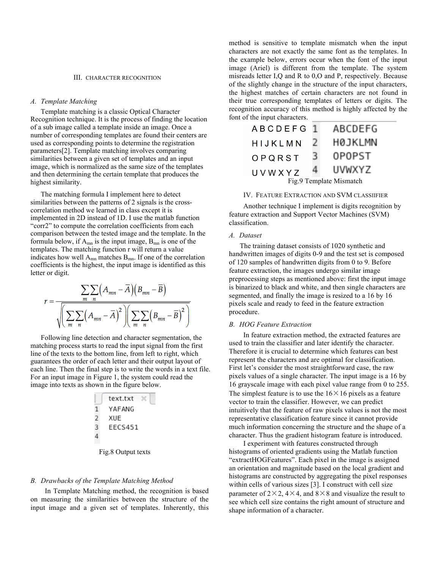#### III. CHARACTER RECOGNITION

#### *A. Template Matching*

Template matching is a classic Optical Character Recognition technique. It is the process of finding the location of a sub image called a template inside an image. Once a number of corresponding templates are found their centers are used as corresponding points to determine the registration parameters[2]. Template matching involves comparing similarities between a given set of templates and an input image, which is normalized as the same size of the templates and then determining the certain template that produces the highest similarity.

The matching formula I implement here to detect similarities between the patterns of 2 signals is the crosscorrelation method we learned in class except it is implemented in 2D instead of 1D. I use the matlab function "corr2" to compute the correlation coefficients from each comparison between the tested image and the template. In the formula below, if  $A_{mn}$  is the input image,  $B_{mn}$  is one of the templates. The matching function r will return a value indicates how well  $A_{mn}$  matches  $B_{mn}$ . If one of the correlation coefficients is the highest, the input image is identified as this letter or digit.

$$
r = \frac{\sum_{m} \sum_{n} (A_{mn} - \overline{A})(B_{mn} - \overline{B})}{\sqrt{\left(\sum_{m} \sum_{n} (A_{mn} - \overline{A})^{2}\right)\left(\sum_{m} \sum_{n} (B_{mn} - \overline{B})^{2}\right)}}
$$

Following line detection and character segmentation, the matching process starts to read the input signal from the first line of the texts to the bottom line, from left to right, which guarantees the order of each letter and their output layout of each line. Then the final step is to write the words in a text file. For an input image in Figure 1, the system could read the image into texts as shown in the figure below.

| text.txt | $\times$ |
|----------|----------|
| 1        | YAFANG   |
| 2        | XUE      |
| 3        | EECS451  |
| 4        |          |

Fig.8 Output texts

#### *B. Drawbacks of the Template Matching Method*

In Template Matching method, the recognition is based on measuring the similarities between the structure of the input image and a given set of templates. Inherently, this

method is sensitive to template mismatch when the input characters are not exactly the same font as the templates. In the example below, errors occur when the font of the input image (Ariel) is different from the template. The system misreads letter I,Q and R to 0,O and P, respectively. Because of the slightly change in the structure of the input characters, the highest matches of certain characters are not found in their true corresponding templates of letters or digits. The recognition accuracy of this method is highly affected by the font of the input characters.

| <b>ABCDEFG</b>          | - 11 | ABCDEFG        |  |  |  |  |
|-------------------------|------|----------------|--|--|--|--|
| HIJKLMN                 |      | <b>H0JKLMN</b> |  |  |  |  |
| OPQRST                  |      | 0P0PST         |  |  |  |  |
| UVWXYZ                  |      | UVWXYZ         |  |  |  |  |
| Fig.9 Template Mismatch |      |                |  |  |  |  |

#### IV. FEATURE EXTRACTION AND SVM CLASSIIFIER

Another technique I implement is digits recognition by feature extraction and Support Vector Machines (SVM) classification.

#### *A. Dataset*

 The training dataset consists of 1020 synthetic and handwritten images of digits 0-9 and the test set is composed of 120 samples of handwritten digits from 0 to 9. Before feature extraction, the images undergo similar image preprocessing steps as mentioned above: first the input image is binarized to black and white, and then single characters are segmented, and finally the image is resized to a 16 by 16 pixels scale and ready to feed in the feature extraction procedure.

# *B. HOG Feature Extraction*

In feature extraction method, the extracted features are used to train the classifier and later identify the character. Therefore it is crucial to determine which features can best represent the characters and are optimal for classification. First let's consider the most straightforward case, the raw pixels values of a single character. The input image is a 16 by 16 grayscale image with each pixel value range from 0 to 255. The simplest feature is to use the  $16 \times 16$  pixels as a feature vector to train the classifier. However, we can predict intuitively that the feature of raw pixels values is not the most representative classification feature since it cannot provide much information concerning the structure and the shape of a character. Thus the gradient histogram feature is introduced.

I experiment with features constructed through histograms of oriented gradients using the Matlab function "extractHOGFeatures". Each pixel in the image is assigned an orientation and magnitude based on the local gradient and histograms are constructed by aggregating the pixel responses within cells of various sizes [3]. I construct with cell size parameter of  $2 \times 2$ ,  $4 \times 4$ , and  $8 \times 8$  and visualize the result to see which cell size contains the right amount of structure and shape information of a character.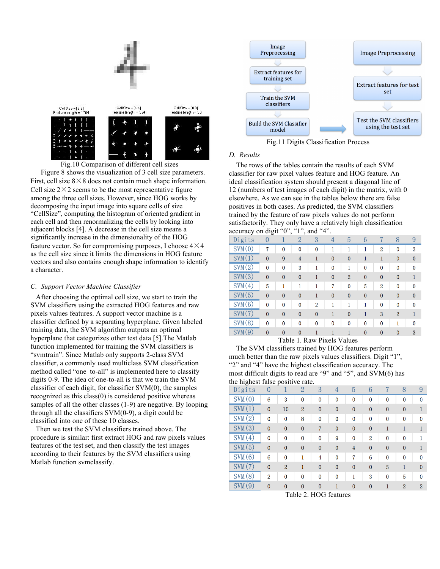

Figure 8 shows the visualization of 3 cell size parameters. First, cell size  $8 \times 8$  does not contain much shape information. Cell size  $2 \times 2$  seems to be the most representative figure among the three cell sizes. However, since HOG works by decomposing the input image into square cells of size "CellSize", computing the histogram of oriented gradient in each cell and then renormalizing the cells by looking into adjacent blocks [4]. A decrease in the cell size means a significantly increase in the dimensionality of the HOG feature vector. So for compromising purposes, I choose  $4 \times 4$ as the cell size since it limits the dimensions in HOG feature vectors and also contains enough shape information to identify a character.

# *C. Support Vector Machine Classifier*

 After choosing the optimal cell size, we start to train the SVM classifiers using the extracted HOG features and raw pixels values features. A support vector machine is a classifier defined by a separating hyperplane. Given labeled training data, the SVM algorithm outputs an optimal hyperplane that categorizes other test data [5].The Matlab function implemented for training the SVM classifiers is "svmtrain". Since Matlab only supports 2-class SVM classifier, a commonly used multiclass SVM classification method called "one–to-all" is implemented here to classify digits 0-9. The idea of one-to-all is that we train the SVM classifier of each digit, for classifier SVM(0), the samples recognized as this class(0) is considered positive whereas samples of all the other classes (1-9) are negative. By looping through all the classifiers SVM(0-9), a digit could be classified into one of these 10 classes.

 Then we test the SVM classifiers trained above. The procedure is similar: first extract HOG and raw pixels values features of the test set, and then classify the test images according to their features by the SVM classifiers using Matlab function svmclassify.



Fig.11 Digits Classification Process

# *D. Results*

 The rows of the tables contain the results of each SVM classifier for raw pixel values feature and HOG feature. An ideal classification system should present a diagonal line of 12 (numbers of test images of each digit) in the matrix, with 0 elsewhere. As we can see in the tables below there are false positives in both cases. As predicted, the SVM classifiers trained by the feature of raw pixels values do not perform satisfactorily. They only have a relatively high classification accuracy on digit " $0$ ", "1", and " $4$ "

| accuracy on uigh |                | v              | ı              | , anu<br>↤     |              |                |              |                |                |              |
|------------------|----------------|----------------|----------------|----------------|--------------|----------------|--------------|----------------|----------------|--------------|
| Digits           | $\overline{0}$ |                | $\overline{2}$ | 3              | 4            | 5              | 6            |                | 8              | 9            |
| SVM(0)           | 7              | $\bf{0}$       | $\mathbf{0}$   | $\mathbf{0}$   |              |                | 1            | 2              | $\mathbf{0}$   | 3            |
| SWM(1)           | $\overline{0}$ | 9              | $\overline{4}$ | 1              | $\mathbf{0}$ | $\overline{0}$ | $\mathbf{1}$ | 1              | $\overline{0}$ | $\mathbf{0}$ |
| SWM(2)           | $\Omega$       | $\bf{0}$       | 3              | 1              | $\Omega$     |                | $\bf{0}$     | $\bf{0}$       | $\mathbf{0}$   | $\bf{0}$     |
| SWM(3)           | $\overline{0}$ | $\overline{0}$ | $\mathbf{0}$   | 1              | $\mathbf{0}$ | $\overline{2}$ | $\bf{0}$     | $\mathbf{0}$   | $\overline{0}$ |              |
| SWM(4)           | 5              | 1              | 1              | 1              | 7            | $\mathbf{0}$   | 5            | $\overline{2}$ | $\mathbf{0}$   | $\Omega$     |
| SVM(5)           | $\overline{0}$ | $\overline{0}$ | $\mathbf{0}$   | 1              | $\mathbf{0}$ | $\overline{0}$ | $\mathbf{0}$ | $\mathbf{0}$   | $\overline{0}$ | $\mathbf{0}$ |
| SVM(6)           | $\Omega$       | $\bf{0}$       | $\bf{0}$       | $\overline{2}$ |              |                |              | $\bf{0}$       | $\mathbf{0}$   | $\mathbf{0}$ |
| SVM(7)           | $\overline{0}$ | $\overline{0}$ | $\mathbf{0}$   | $\mathbf{0}$   |              | $\overline{0}$ | 1            | 3              | $\overline{2}$ |              |
| SVM(8)           | $\Omega$       | $\mathbf{0}$   | $\mathbf{0}$   | $\mathbf{0}$   | $\Omega$     | $\mathbf{0}$   | $\mathbf{0}$ | $\mathbf{0}$   |                | $\Omega$     |
| SWM(9)           | $\overline{0}$ | $\overline{0}$ | $\mathbf{0}$   | 1              |              |                | $\bf{0}$     | $\bf{0}$       | $\mathbf{0}$   | 3            |
|                  |                |                |                |                |              |                |              |                |                |              |

Table 1. Raw Pixels Values

 The SVM classifiers trained by HOG features perform much better than the raw pixels values classifiers. Digit "1", "2" and "4" have the highest classification accuracy. The most difficult digits to read are "9" and "5", and SVM(6) has the highest false positive rate.

| the highest raise positive rate. |                |                |                |              |              |              |                |                |                |                |
|----------------------------------|----------------|----------------|----------------|--------------|--------------|--------------|----------------|----------------|----------------|----------------|
| Digits                           | $\overline{0}$ |                | 2              | 3            | 4            | 5            | 6              |                | 8              | 9              |
| SWM(0)                           | 6              | 3              | $\mathbf{0}$   | $\mathbf{0}$ | $\bf{0}$     | $\mathbf{0}$ | $\mathbf{0}$   | $\mathbf{0}$   | $\Omega$       | $\mathbf{0}$   |
| SWM(1)                           | $\mathbf{0}$   | 10             | $\overline{2}$ | $\mathbf{0}$ | $\mathbf{0}$ | $\mathbf{0}$ | $\mathbf{0}$   | $\mathbf{0}$   | $\mathbf{0}$   |                |
| SWM(2)                           | 0              | $\bf{0}$       | 8              | $\bf{0}$     | 0            | $\bf{0}$     | $\bf{0}$       | $\bf{0}$       | $\bf{0}$       | $\mathbf{0}$   |
| SWM(3)                           | $\bf{0}$       | $\bf{0}$       | $\mathbf{0}$   | 7            | $\mathbf{0}$ | $\bf{0}$     | $\mathbf{0}$   | 1              |                |                |
| SWM(4)                           | $\Omega$       | $\mathbf{0}$   | 0              | $\mathbf{0}$ | 9            | $\mathbf{0}$ | $\overline{2}$ | $\mathbf{0}$   | $\Omega$       |                |
| SWM(5)                           | $\mathbf{0}$   | $\mathbf{0}$   | $\mathbf{0}$   | $\mathbf{0}$ | $\mathbf{0}$ | 4            | $\mathbf{0}$   | $\overline{0}$ | $\mathbf{0}$   |                |
| SVM(6)                           | 6              | $\mathbf{0}$   |                | 4            | $\mathbf{0}$ | 7            | 6              | $\bf{0}$       | $\mathbf{0}$   | $\mathbf{0}$   |
| SWM(7)                           | $\bf{0}$       | $\overline{2}$ | 1              | $\mathbf{0}$ | $\mathbf{0}$ | $\mathbf{0}$ | $\mathbf{0}$   | 5              | 1              | $\mathbf{0}$   |
| SWM(8)                           | $\overline{2}$ | $\mathbf{0}$   | $\mathbf{0}$   | $\mathbf{0}$ | $\mathbf{0}$ |              | 3              | $\mathbf{0}$   | 5              | $\bf{0}$       |
| SWM(9)                           | $\bf{0}$       | $\mathbf{0}$   | $\mathbf{0}$   | $\mathbf{0}$ |              | $\bf{0}$     | $\mathbf{0}$   | 1              | $\overline{2}$ | $\overline{2}$ |
| $H0G$ features<br>Table 2        |                |                |                |              |              |              |                |                |                |                |

Table 2. HOG features